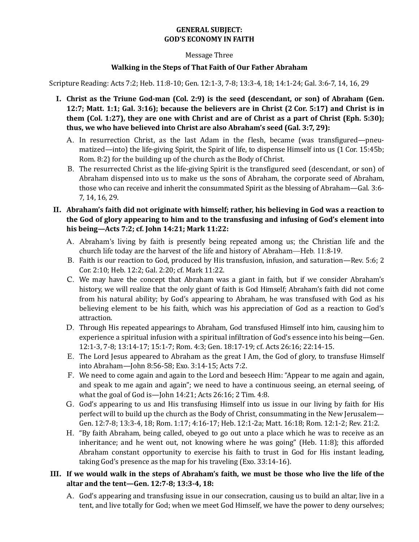## **GENERAL SUBJECT: GOD'S ECONOMY IN FAITH**

## Message Three

## **Walking in the Steps of That Faith of Our Father Abraham**

Scripture Reading: Acts 7:2; Heb. 11:8-10; Gen. 12:1-3, 7-8; 13:3-4, 18; 14:1-24; Gal. 3:6-7, 14, 16, 29

- I. Christ as the Triune God-man (Col. 2:9) is the seed (descendant, or son) of Abraham (Gen. **12:7;** Matt. **1:1;** Gal. 3:16); because the believers are in Christ (2 Cor. 5:17) and Christ is in **them** (Col. 1:27), they are one with Christ and are of Christ as a part of Christ (Eph. 5:30); thus, we who have believed into Christ are also Abraham's seed (Gal. 3:7, 29):
	- A. In resurrection Christ, as the last Adam in the flesh, became (was transfigured—pneumatized—into) the life-giving Spirit, the Spirit of life, to dispense Himself into us (1 Cor. 15:45b; Rom. 8:2) for the building up of the church as the Body of Christ.
	- B. The resurrected Christ as the life-giving Spirit is the transfigured seed (descendant, or son) of Abraham dispensed into us to make us the sons of Abraham, the corporate seed of Abraham, those who can receive and inherit the consummated Spirit as the blessing of Abraham—Gal. 3:6-7, 14, 16, 29.
- II. Abraham's faith did not originate with himself; rather, his believing in God was a reaction to **the God of glory appearing to him and to the transfusing and infusing of God's element into his being—Acts 7:2; cf. John 14:21; Mark 11:22:**
	- A. Abraham's living by faith is presently being repeated among us; the Christian life and the church life today are the harvest of the life and history of Abraham—Heb. 11:8-19.
	- B. Faith is our reaction to God, produced by His transfusion, infusion, and saturation—Rev. 5:6; 2 Cor. 2:10; Heb. 12:2; Gal. 2:20; cf. Mark 11:22.
	- C. We may have the concept that Abraham was a giant in faith, but if we consider Abraham's history, we will realize that the only giant of faith is God Himself; Abraham's faith did not come from his natural ability; by God's appearing to Abraham, he was transfused with God as his believing element to be his faith, which was his appreciation of God as a reaction to God's attraction.
	- D. Through His repeated appearings to Abraham, God transfused Himself into him, causing him to experience a spiritual infusion with a spiritual infiltration of God's essence into his being—Gen. 12:1-3, 7-8; 13:14-17; 15:1-7; Rom. 4:3; Gen. 18:17-19; cf. Acts 26:16; 22:14-15.
	- E. The Lord Jesus appeared to Abraham as the great I Am, the God of glory, to transfuse Himself into Abraham—John 8:56-58; Exo. 3:14-15; Acts 7:2.
	- F. We need to come again and again to the Lord and beseech Him: "Appear to me again and again, and speak to me again and again"; we need to have a continuous seeing, an eternal seeing, of what the goal of God is—John  $14:21$ ; Acts  $26:16$ ; 2 Tim.  $4:8$ .
	- G. God's appearing to us and His transfusing Himself into us issue in our living by faith for His perfect will to build up the church as the Body of Christ, consummating in the New Jerusalem— Gen. 12:7-8; 13:3-4, 18; Rom. 1:17; 4:16-17; Heb. 12:1-2a; Matt. 16:18; Rom. 12:1-2; Rev. 21:2.
	- H. "By faith Abraham, being called, obeyed to go out unto a place which he was to receive as an inheritance; and he went out, not knowing where he was going" (Heb.  $11:8$ ); this afforded Abraham constant opportunity to exercise his faith to trust in God for His instant leading, taking God's presence as the map for his traveling  $(Exo. 33:14-16)$ .
- III. If we would walk in the steps of Abraham's faith, we must be those who live the life of the altar and the tent-Gen. 12:7-8; 13:3-4, 18:
	- A. God's appearing and transfusing issue in our consecration, causing us to build an altar, live in a tent, and live totally for God; when we meet God Himself, we have the power to deny ourselves;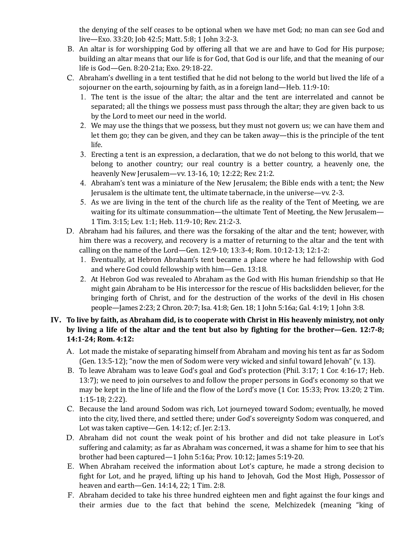the denying of the self ceases to be optional when we have met God; no man can see God and live—Exo. 33:20; Job 42:5; Matt. 5:8; 1 John 3:2-3.

- B. An altar is for worshipping God by offering all that we are and have to God for His purpose; building an altar means that our life is for God, that God is our life, and that the meaning of our life is God-Gen. 8:20-21a; Exo. 29:18-22.
- C. Abraham's dwelling in a tent testified that he did not belong to the world but lived the life of a sojourner on the earth, sojourning by faith, as in a foreign land—Heb.  $11:9-10$ :
	- 1. The tent is the issue of the altar; the altar and the tent are interrelated and cannot be separated; all the things we possess must pass through the altar; they are given back to us by the Lord to meet our need in the world.
	- 2. We may use the things that we possess, but they must not govern us; we can have them and let them go; they can be given, and they can be taken away—this is the principle of the tent life.
	- 3. Erecting a tent is an expression, a declaration, that we do not belong to this world, that we belong to another country; our real country is a better country, a heavenly one, the heavenly New Jerusalem—vv. 13-16, 10; 12:22; Rev. 21:2.
	- 4. Abraham's tent was a miniature of the New Jerusalem; the Bible ends with a tent; the New Jerusalem is the ultimate tent, the ultimate tabernacle, in the universe—vv. 2-3.
	- 5. As we are living in the tent of the church life as the reality of the Tent of Meeting, we are waiting for its ultimate consummation—the ultimate Tent of Meeting, the New Jerusalem— 1 Tim. 3:15; Lev. 1:1; Heb. 11:9-10; Rev. 21:2-3.
- D. Abraham had his failures, and there was the forsaking of the altar and the tent; however, with him there was a recovery, and recovery is a matter of returning to the altar and the tent with calling on the name of the Lord—Gen. 12:9-10; 13:3-4; Rom. 10:12-13; 12:1-2:
	- 1. Eventually, at Hebron Abraham's tent became a place where he had fellowship with God and where God could fellowship with him-Gen. 13:18.
	- 2. At Hebron God was revealed to Abraham as the God with His human friendship so that He might gain Abraham to be His intercessor for the rescue of His backslidden believer, for the bringing forth of Christ, and for the destruction of the works of the devil in His chosen people—James 2:23; 2 Chron. 20:7; Isa. 41:8; Gen. 18; 1 John 5:16a; Gal. 4:19; 1 John 3:8.

## IV. To live by faith, as Abraham did, is to cooperate with Christ in His heavenly ministry, not only by living a life of the altar and the tent but also by fighting for the brother—Gen. 12:7-8; **14:1-24; Rom. 4:12:**

- A. Lot made the mistake of separating himself from Abraham and moving his tent as far as Sodom (Gen. 13:5-12); "now the men of Sodom were very wicked and sinful toward Jehovah" (v. 13).
- B. To leave Abraham was to leave God's goal and God's protection (Phil. 3:17; 1 Cor. 4:16-17; Heb. 13:7); we need to join ourselves to and follow the proper persons in God's economy so that we may be kept in the line of life and the flow of the Lord's move (1 Cor. 15:33; Prov. 13:20; 2 Tim. 1:15-18; 2:22).
- C. Because the land around Sodom was rich, Lot journeyed toward Sodom; eventually, he moved into the city, lived there, and settled there; under God's sovereignty Sodom was conquered, and Lot was taken captive—Gen. 14:12; cf. Jer. 2:13.
- D. Abraham did not count the weak point of his brother and did not take pleasure in Lot's suffering and calamity; as far as Abraham was concerned, it was a shame for him to see that his brother had been captured—1 John 5:16a; Prov.  $10:12$ ; James  $5:19-20$ .
- E. When Abraham received the information about Lot's capture, he made a strong decision to fight for Lot, and he prayed, lifting up his hand to Jehovah, God the Most High, Possessor of heaven and earth-Gen. 14:14, 22; 1 Tim. 2:8.
- F. Abraham decided to take his three hundred eighteen men and fight against the four kings and their armies due to the fact that behind the scene, Melchizedek (meaning "king of